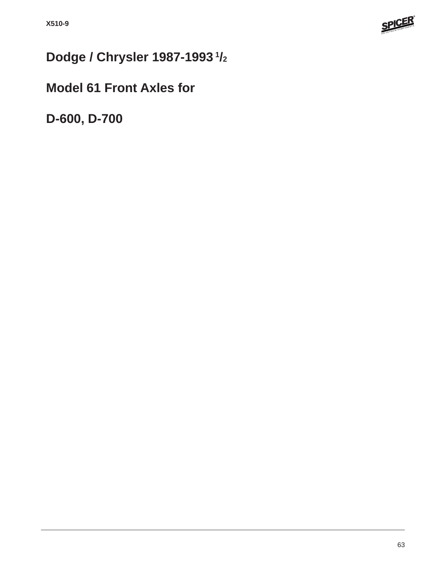

# **Dodge / Chrysler 1987-1993 1/2**

## **Model 61 Front Axles for**

**D-600, D-700**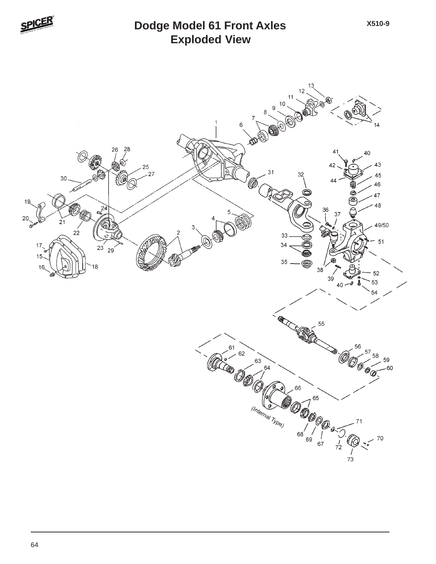

### **Exploded View Dodge Model 61 Front Axles**

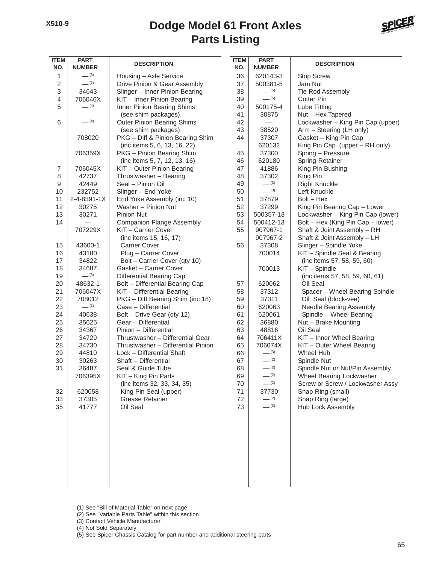#### **Parts Listing Dodge Model 61 Front Axles**



| <b>ITEM</b><br>NO. | <b>PART</b><br><b>NUMBER</b> | <b>DESCRIPTION</b>                                      | <b>ITEM</b><br>NO. | <b>PART</b><br><b>NUMBER</b> | <b>DESCRIPTION</b>                              |
|--------------------|------------------------------|---------------------------------------------------------|--------------------|------------------------------|-------------------------------------------------|
| 1                  | $-^{(3)}$                    | Housing - Axle Service                                  | 36                 | 620143-3                     | <b>Stop Screw</b>                               |
| 2                  | $-$ (1)                      | Drive Pinion & Gear Assembly                            | 37                 | 500381-5                     | Jam Nut                                         |
| 3                  | 34643                        | Slinger - Inner Pinion Bearing                          | 38                 | $- (5)$                      | Tie Rod Assembly                                |
| 4                  | 706046X                      | KIT - Inner Pinion Bearing                              | 39                 | $-$ (5)                      | <b>Cotter Pin</b>                               |
| 5                  | $-$ (4)                      | Inner Pinion Bearing Shims                              | 40                 | 500175-4                     | Lube Fitting                                    |
|                    |                              | (see shim packages)                                     | 41                 | 30875                        | Nut - Hex Tapered                               |
| 6                  | $- (4)$                      | <b>Outer Pinion Bearing Shims</b>                       | 42                 |                              | Lockwasher - King Pin Cap (upper)               |
|                    |                              | (see shim packages)                                     | 43                 | 38520                        | Arm - Steering (LH only)                        |
|                    | 708020                       | PKG - Diff & Pinion Bearing Shim                        | 44                 | 37307                        | Gasket - King Pin Cap                           |
|                    |                              | (inc items 5, 6, 13, 16, 22)                            |                    | 620132                       | King Pin Cap (upper - RH only)                  |
|                    | 706359X                      | PKG - Pinion Bearing Shim                               | 45                 | 37300                        | Spring - Pressure                               |
|                    |                              | (inc items 5, 7, 12, 13, 16)                            | 46                 | 620180                       | Spring Retainer                                 |
| $\overline{7}$     | 706045X                      | KIT - Outer Pinion Bearing                              | 47                 | 41886                        | King Pin Bushing                                |
| 8                  | 42737                        | Thrustwasher - Bearing                                  | 48                 | 37302                        | King Pin                                        |
| 9                  | 42449                        | Seal - Pinion Oil                                       | 49                 | $- (3)$                      | <b>Right Knuckle</b>                            |
| 10                 | 232752                       | Slinger - End Yoke                                      | 50                 | $- (3)$                      | Left Knuckle                                    |
| 11                 | 2-4-8391-1X                  | End Yoke Assembly (inc 10)                              | 51                 | 37879                        | $Bolt - Hex$                                    |
| 12                 | 30275                        | Washer - Pinion Nut                                     | 52                 | 37299                        | King Pin Bearing Cap - Lower                    |
| 13                 | 30271                        | <b>Pinion Nut</b>                                       | 53                 | 500357-13                    | Lockwasher - King Pin Cap (lower)               |
| 14                 |                              | <b>Companion Flange Assembly</b>                        | 54                 | 500412-13                    | Bolt - Hex (King Pin Cap - lower)               |
|                    | 707229X                      | KIT - Carrier Cover                                     | 55                 | 907967-1                     | Shaft & Joint Assembly - RH                     |
|                    |                              | (inc items 15, 16, 17)                                  |                    | 907967-2                     | Shaft & Joint Assembly - LH                     |
| 15                 | 43600-1                      | <b>Carrier Cover</b>                                    | 56                 | 37308                        | Slinger - Spindle Yoke                          |
| 16                 | 43180                        | Plug - Carrier Cover                                    |                    | 700014                       | KIT - Spindle Seal & Bearing                    |
| 17                 | 34822                        | Bolt - Carrier Cover (qty 10)                           |                    |                              | (inc items 57, 58, 59, 60)                      |
| 18                 | 34687                        | Gasket - Carrier Cover                                  |                    | 700013                       | KIT - Spindle                                   |
| 19                 | $-^{(3)}$                    | Differential Bearing Cap                                |                    |                              | (inc items 57, 58, 59, 60, 61)                  |
| 20                 | 48632-1                      | Bolt - Differential Bearing Cap                         | 57                 | 620062                       | Oil Seal                                        |
| 21<br>22           | 706047X                      | KIT - Differential Bearing                              | 58                 | 37312                        | Spacer - Wheel Bearing Spindle                  |
| 23                 | 708012<br>$-$ (1)            | PKG - Diff Bearing Shim (inc 18)<br>Case - Differential | 59<br>60           | 37311<br>620063              | Oil Seal (block-vee)<br>Needle Bearing Assembly |
| 24                 | 40638                        | Bolt - Drive Gear (qty 12)                              | 61                 | 620061                       | Spindle - Wheel Bearing                         |
| 25                 | 35625                        | Gear - Differential                                     | 62                 | 36880                        | Nut - Brake Mounting                            |
| 26                 | 34367                        | Pinion - Differential                                   | 63                 | 48816                        | Oil Seal                                        |
| 27                 | 34729                        | Thrustwasher - Differential Gear                        | 64                 | 706411X                      | KIT - Inner Wheel Bearing                       |
| 28                 | 34730                        | Thrustwasher - Differential Pinion                      | 65                 | 706074X                      | KIT - Outer Wheel Bearing                       |
| 29                 | 44810                        | Lock - Differential Shaft                               | 66                 | $- (3)$                      | Wheel Hub                                       |
| 30                 | 30263                        | Shaft - Differential                                    | 67                 | $-$ (2)                      | Spindle Nut                                     |
| 31                 | 36487                        | Seal & Guide Tube                                       | 68                 | $-^{(2)}$                    | Spindle Nut or Nut/Pin Assembly                 |
|                    | 706395X                      | KIT - King Pin Parts                                    | 69                 | $-^{(2)}$                    | Wheel Bearing Lockwasher                        |
|                    |                              | (inc items 32, 33, 34, 35)                              | 70                 | $-$ (2)                      | Screw or Screw / Lockwasher Assy                |
| 32                 | 620058                       | King Pin Seal (upper)                                   | 71                 | 37730                        | Snap Ring (small)                               |
| 33                 | 37305                        | <b>Grease Retainer</b>                                  | 72                 | $-^{(2)}$                    | Snap Ring (large)                               |
| 35                 | 41777                        | Oil Seal                                                | 73                 | $-^{(3)}$                    | <b>Hub Lock Assembly</b>                        |
|                    |                              |                                                         |                    |                              |                                                 |
|                    |                              |                                                         |                    |                              |                                                 |

- (2) See "Variable Parts Table" within this section
- (3) Contact Vehicle Manufacturer
- (4) Not Sold Separately
- (5) See Spicer Chassis Catalog for part number and additional steering parts